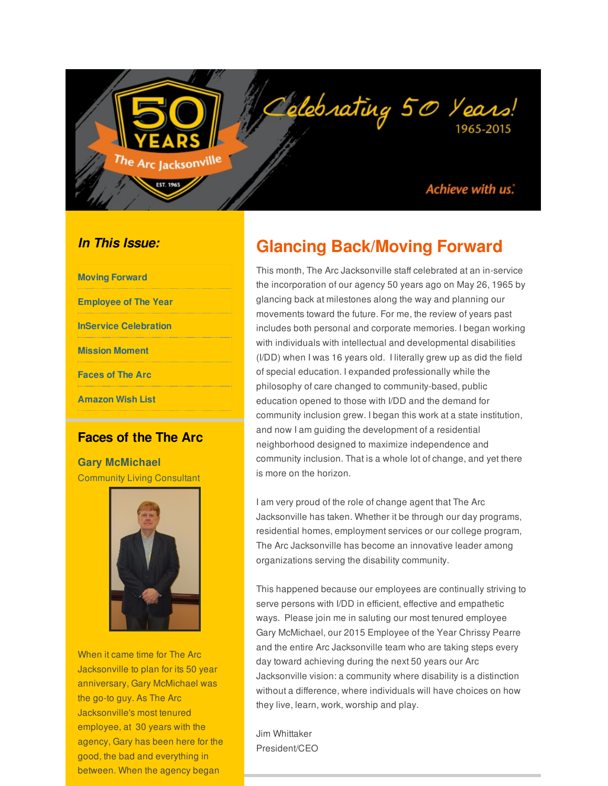#### Achieve with us.

#### *In This Issue:*

| <b>Moving Forward</b>        |
|------------------------------|
| <b>Employee of The Year</b>  |
| <b>InService Celebration</b> |
| <b>Mission Moment</b>        |
| <b>Faces of The Arc</b>      |
| <b>Amazon Wish List</b>      |

<span id="page-0-0"></span>Arc Jacksonville

**EST. 1965** 

#### **Faces of the The Arc**

**Gary McMichael** Community Living Consultant



When it came time for The Arc Jacksonville to plan for its 50 year anniversary, Gary McMichael was the go-to guy. As The Arc Jacksonville's most tenured employee, at 30 years with the agency, Gary has been here for the good, the bad and everything in between. When the agency began

# **Glancing Back/Moving Forward**

Delebrating 50 Years!

This month, The Arc Jacksonville staff celebrated at an in-service the incorporation of our agency 50 years ago on May 26, 1965 by glancing back at milestones along the way and planning our movements toward the future. For me, the review of years past includes both personal and corporate memories. I began working with individuals with intellectual and developmental disabilities (I/DD) when I was 16 years old. I literally grew up as did the field of special education. I expanded professionally while the philosophy of care changed to community-based, public education opened to those with I/DD and the demand for community inclusion grew. I began this work at a state institution, and now I am guiding the development of a residential neighborhood designed to maximize independence and community inclusion. That is a whole lot of change, and yet there is more on the horizon.

I am very proud of the role of change agent that The Arc Jacksonville has taken. Whether it be through our day programs, residential homes, employment services or our college program, The Arc Jacksonville has become an innovative leader among organizations serving the disability community.

This happened because our employees are continually striving to serve persons with I/DD in efficient, effective and empathetic ways. Please join me in saluting our most tenured employee Gary McMichael, our 2015 Employee of the Year Chrissy Pearre and the entire Arc Jacksonville team who are taking steps every day toward achieving during the next 50 years our Arc Jacksonville vision: a community where disability is a distinction without a difference, where individuals will have choices on how they live, learn, work, worship and play.

Jim Whittaker President/CEO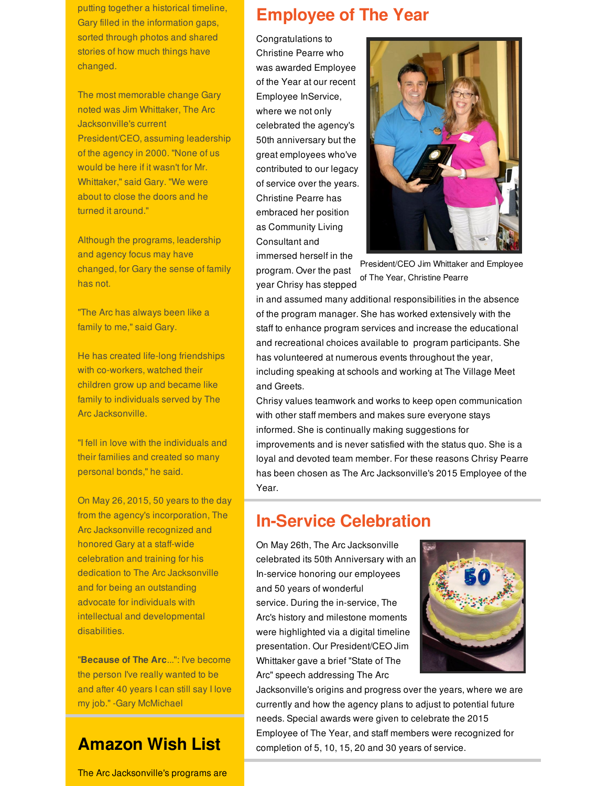putting together a historical timeline, Gary filled in the information gaps, sorted through photos and shared stories of how much things have changed.

The most memorable change Gary noted was Jim Whittaker, The Arc Jacksonville's current President/CEO, assuming leadership of the agency in 2000. "None of us would be here if it wasn't for Mr. Whittaker," said Gary. "We were about to close the doors and he turned it around."

Although the programs, leadership and agency focus may have changed, for Gary the sense of family has not.

"The Arc has always been like a family to me," said Gary.

He has created life-long friendships with co-workers, watched their children grow up and became like family to individuals served by The Arc Jacksonville.

"I fell in love with the individuals and their families and created so many personal bonds," he said.

On May 26, 2015, 50 years to the day from the agency's incorporation, The Arc Jacksonville recognized and honored Gary at a staff-wide celebration and training for his dedication to The Arc Jacksonville and for being an outstanding advocate for individuals with intellectual and developmental disabilities.

"**Because of The Arc**...": I've become the person I've really wanted to be and after 40 years I can still say I love my job." -Gary McMichael

## **Amazon Wish List**

The Arc Jacksonville's programs are

### **Employee of The Year**

Congratulations to Christine Pearre who was awarded Employee of the Year at our recent Employee InService, where we not only celebrated the agency's 50th anniversary but the great employees who've contributed to our legacy of service over the years. Christine Pearre has embraced her position as Community Living Consultant and immersed herself in the





President/CEO Jim Whittaker and Employee of The Year, Christine Pearre

in and assumed many additional responsibilities in the absence of the program manager. She has worked extensively with the staff to enhance program services and increase the educational and recreational choices available to program participants. She has volunteered at numerous events throughout the year, including speaking at schools and working at The Village Meet and Greets.

Chrisy values teamwork and works to keep open communication with other staff members and makes sure everyone stays informed. She is continually making suggestions for improvements and is never satisfied with the status quo. She is a loyal and devoted team member. For these reasons Chrisy Pearre has been chosen as The Arc Jacksonville's 2015 Employee of the Year.

## **In-Service Celebration**

On May 26th, The Arc Jacksonville celebrated its 50th Anniversary with an In-service honoring our employees and 50 years of wonderful service. During the in-service, The Arc's history and milestone moments were highlighted via a digital timeline presentation. Our President/CEO Jim Whittaker gave a brief "State of The Arc" speech addressing The Arc



Jacksonville's origins and progress over the years, where we are currently and how the agency plans to adjust to potential future needs. Special awards were given to celebrate the 2015 Employee of The Year, and staff members were recognized for completion of 5, 10, 15, 20 and 30 years of service.